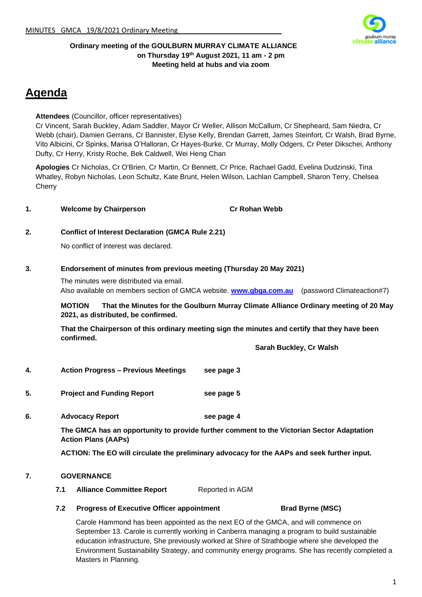

#### **Ordinary meeting of the GOULBURN MURRAY CLIMATE ALLIANCE on Thursday 19th August 2021, 11 am - 2 pm Meeting held at hubs and via zoom**

# **Agenda**

#### **Attendees** (Councillor, officer representatives)

Cr Vincent, Sarah Buckley, Adam Saddler, Mayor Cr Weller, Allison McCallum, Cr Shepheard, Sam Niedra, Cr Webb (chair), Damien Gerrans, Cr Bannister, Elyse Kelly, Brendan Garrett, James Steinfort, Cr Walsh, Brad Byrne, Vito Albicini, Cr Spinks, Marisa O'Halloran, Cr Hayes-Burke, Cr Murray, Molly Odgers, Cr Peter Dikschei, Anthony Dufty, Cr Herry, Kristy Roche, Bek Caldwell, Wei Heng Chan

**Apologies** Cr Nicholas, Cr O'Brien, Cr Martin, Cr Bennett, Cr Price, Rachael Gadd, Evelina Dudzinski, Tina Whatley, Robyn Nicholas, Leon Schultz, Kate Brunt, Helen Wilson, Lachlan Campbell, Sharon Terry, Chelsea **Cherry** 

#### **1. Welcome by Chairperson Cr Rohan Webb**

#### **2. Conflict of Interest Declaration (GMCA Rule 2.21)**

No conflict of interest was declared.

#### **3. Endorsement of minutes from previous meeting (Thursday 20 May 2021)**

The minutes were distributed via email. Also available on members section of GMCA website. **[www.gbga.com.au](http://www.gbga.com.au/)** (password Climateaction#7)

**MOTION That the Minutes for the Goulburn Murray Climate Alliance Ordinary meeting of 20 May 2021, as distributed, be confirmed.**

**That the Chairperson of this ordinary meeting sign the minutes and certify that they have been confirmed.**

**Sarah Buckley, Cr Walsh**

- **4. Action Progress – Previous Meetings see page 3**
- **5. Project and Funding Report see page 5**
- **6. Advocacy Report see page 4**

**The GMCA has an opportunity to provide further comment to the Victorian Sector Adaptation Action Plans (AAPs)**

**ACTION: The EO will circulate the preliminary advocacy for the AAPs and seek further input.**

#### **7. GOVERNANCE**

- **7.1 Alliance Committee Report** Reported in AGM
- **7.2 Progress of Executive Officer appointment Brad Byrne (MSC)**

Carole Hammond has been appointed as the next EO of the GMCA, and will commence on September 13. Carole is currently working in Canberra managing a program to build sustainable education infrastructure, She previously worked at Shire of Strathbogie where she developed the Environment Sustainability Strategy, and community energy programs. She has recently completed a Masters in Planning.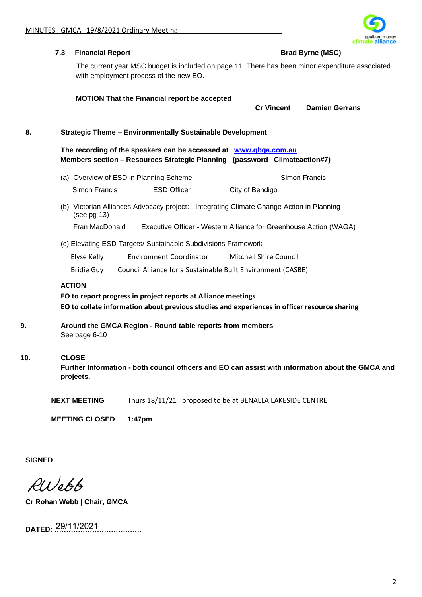

|     | 7.3 | <b>Financial Report</b>   |                                                                                                                                               |                                                                   | <b>Brad Byrne (MSC)</b>                                                                           |
|-----|-----|---------------------------|-----------------------------------------------------------------------------------------------------------------------------------------------|-------------------------------------------------------------------|---------------------------------------------------------------------------------------------------|
|     |     |                           | The current year MSC budget is included on page 11. There has been minor expenditure associated<br>with employment process of the new EO.     |                                                                   |                                                                                                   |
|     |     |                           | <b>MOTION That the Financial report be accepted</b>                                                                                           | <b>Cr Vincent</b>                                                 | <b>Damien Gerrans</b>                                                                             |
|     |     |                           |                                                                                                                                               |                                                                   |                                                                                                   |
| 8.  |     |                           | <b>Strategic Theme - Environmentally Sustainable Development</b>                                                                              |                                                                   |                                                                                                   |
|     |     |                           | The recording of the speakers can be accessed at www.gbga.com.au<br>Members section - Resources Strategic Planning (password Climateaction#7) |                                                                   |                                                                                                   |
|     |     |                           | (a) Overview of ESD in Planning Scheme                                                                                                        |                                                                   | Simon Francis                                                                                     |
|     |     | Simon Francis             | <b>ESD Officer</b>                                                                                                                            | City of Bendigo                                                   |                                                                                                   |
|     |     | (see pg 13)               | (b) Victorian Alliances Advocacy project: - Integrating Climate Change Action in Planning                                                     |                                                                   |                                                                                                   |
|     |     | Fran MacDonald            |                                                                                                                                               | Executive Officer - Western Alliance for Greenhouse Action (WAGA) |                                                                                                   |
|     |     |                           | (c) Elevating ESD Targets/ Sustainable Subdivisions Framework                                                                                 |                                                                   |                                                                                                   |
|     |     | Elyse Kelly               | <b>Environment Coordinator</b>                                                                                                                | <b>Mitchell Shire Council</b>                                     |                                                                                                   |
|     |     | <b>Bridie Guy</b>         | Council Alliance for a Sustainable Built Environment (CASBE)                                                                                  |                                                                   |                                                                                                   |
|     |     | <b>ACTION</b>             |                                                                                                                                               |                                                                   |                                                                                                   |
|     |     |                           | EO to report progress in project reports at Alliance meetings                                                                                 |                                                                   |                                                                                                   |
|     |     |                           | EO to collate information about previous studies and experiences in officer resource sharing                                                  |                                                                   |                                                                                                   |
| 9.  |     | See page 6-10             | Around the GMCA Region - Round table reports from members                                                                                     |                                                                   |                                                                                                   |
| 10. |     | <b>CLOSE</b><br>projects. |                                                                                                                                               |                                                                   | Further Information - both council officers and EO can assist with information about the GMCA and |
|     |     | <b>NEXT MEETING</b>       | Thurs 18/11/21 proposed to be at BENALLA LAKESIDE CENTRE                                                                                      |                                                                   |                                                                                                   |
|     |     | <b>MEETING CLOSED</b>     | 1:47pm                                                                                                                                        |                                                                   |                                                                                                   |
|     |     |                           |                                                                                                                                               |                                                                   |                                                                                                   |

**SIGNED**

RWebb

**Cr Rohan Webb | Chair, GMCA**

**DATED: ……………………………….** 29/11/2021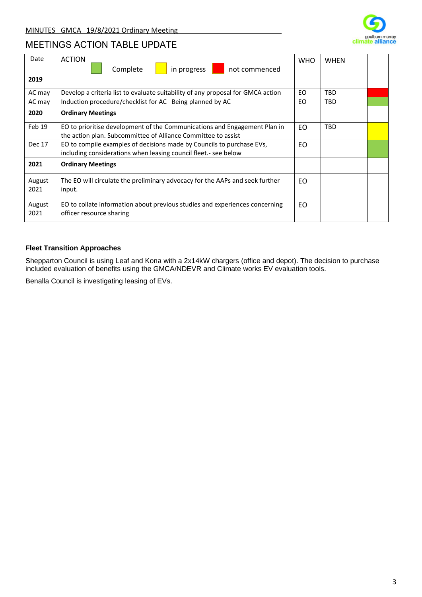

## MEETINGS ACTION TABLE UPDATE

| Date           | <b>ACTION</b>                                                                                                                              | <b>WHO</b> | <b>WHEN</b> |  |  |
|----------------|--------------------------------------------------------------------------------------------------------------------------------------------|------------|-------------|--|--|
|                | Complete<br>in progress<br>not commenced                                                                                                   |            |             |  |  |
| 2019           |                                                                                                                                            |            |             |  |  |
| AC may         | Develop a criteria list to evaluate suitability of any proposal for GMCA action                                                            | EO.        | <b>TBD</b>  |  |  |
| AC may         | Induction procedure/checklist for AC Being planned by AC                                                                                   | EO.        | <b>TBD</b>  |  |  |
| 2020           | <b>Ordinary Meetings</b>                                                                                                                   |            |             |  |  |
| Feb 19         | EO to prioritise development of the Communications and Engagement Plan in<br>the action plan. Subcommittee of Alliance Committee to assist | EO.        | <b>TBD</b>  |  |  |
| Dec 17         | EO to compile examples of decisions made by Councils to purchase EVs,<br>including considerations when leasing council fleet.- see below   | EO.        |             |  |  |
| 2021           | <b>Ordinary Meetings</b>                                                                                                                   |            |             |  |  |
| August<br>2021 | The EO will circulate the preliminary advocacy for the AAPs and seek further<br>input.                                                     | EO.        |             |  |  |
| August<br>2021 | EO to collate information about previous studies and experiences concerning<br>officer resource sharing                                    | EO.        |             |  |  |

#### **Fleet Transition Approaches**

Shepparton Council is using Leaf and Kona with a 2x14kW chargers (office and depot). The decision to purchase included evaluation of benefits using the GMCA/NDEVR and Climate works EV evaluation tools.

Benalla Council is investigating leasing of EVs.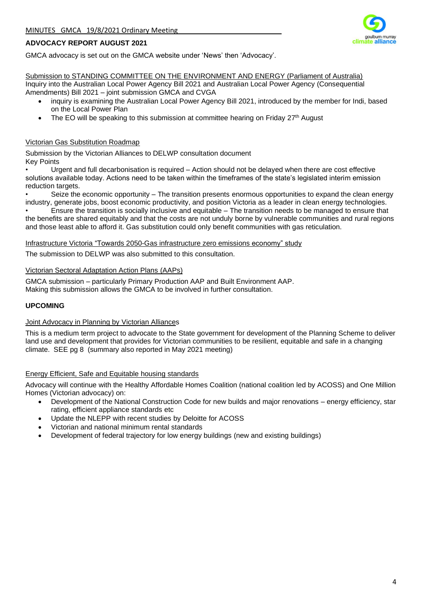

#### **ADVOCACY REPORT AUGUST 2021**

GMCA advocacy is set out on the GMCA website under 'News' then 'Advocacy'.

Submission to STANDING COMMITTEE ON THE ENVIRONMENT AND ENERGY (Parliament of Australia) Inquiry into the Australian Local Power Agency Bill 2021 and Australian Local Power Agency (Consequential Amendments) Bill 2021 – joint submission GMCA and CVGA

- inquiry is examining the Australian Local Power Agency Bill 2021, introduced by the member for Indi, based on the Local Power Plan
- The EO will be speaking to this submission at committee hearing on Friday 27<sup>th</sup> August

#### Victorian Gas Substitution Roadmap

Submission by the Victorian Alliances to DELWP consultation document Key Points

• Urgent and full decarbonisation is required – Action should not be delayed when there are cost effective solutions available today. Actions need to be taken within the timeframes of the state's legislated interim emission reduction targets.

• Seize the economic opportunity – The transition presents enormous opportunities to expand the clean energy industry, generate jobs, boost economic productivity, and position Victoria as a leader in clean energy technologies.

• Ensure the transition is socially inclusive and equitable – The transition needs to be managed to ensure that the benefits are shared equitably and that the costs are not unduly borne by vulnerable communities and rural regions and those least able to afford it. Gas substitution could only benefit communities with gas reticulation.

#### Infrastructure Victoria "Towards 2050-Gas infrastructure zero emissions economy" study

The submission to DELWP was also submitted to this consultation.

#### Victorian Sectoral Adaptation Action Plans (AAPs)

GMCA submission – particularly Primary Production AAP and Built Environment AAP. Making this submission allows the GMCA to be involved in further consultation.

#### **UPCOMING**

#### Joint Advocacy in Planning by Victorian Alliances

This is a medium term project to advocate to the State government for development of the Planning Scheme to deliver land use and development that provides for Victorian communities to be resilient, equitable and safe in a changing climate. SEE pg 8 (summary also reported in May 2021 meeting)

#### Energy Efficient, Safe and Equitable housing standards

Advocacy will continue with the Healthy Affordable Homes Coalition (national coalition led by ACOSS) and One Million Homes (Victorian advocacy) on:

- Development of the National Construction Code for new builds and major renovations energy efficiency, star rating, efficient appliance standards etc
- Update the NLEPP with recent studies by Deloitte for ACOSS
- Victorian and national minimum rental standards
- Development of federal trajectory for low energy buildings (new and existing buildings)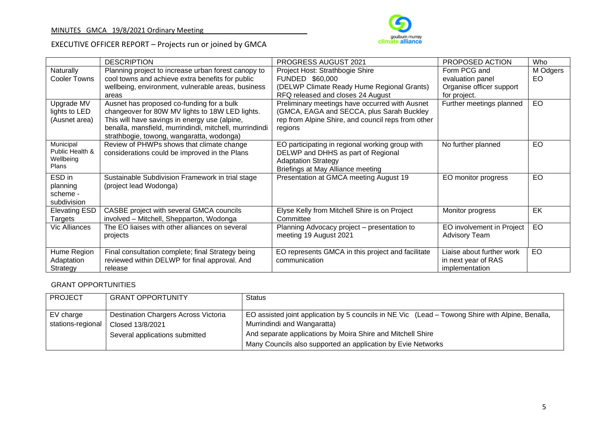

## EXECUTIVE OFFICER REPORT – Projects run or joined by GMCA

|                           | <b>DESCRIPTION</b>                                     | <b>PROGRESS AUGUST 2021</b>                        | PROPOSED ACTION           | Who      |
|---------------------------|--------------------------------------------------------|----------------------------------------------------|---------------------------|----------|
| Naturally                 | Planning project to increase urban forest canopy to    | Project Host: Strathbogie Shire                    | Form PCG and              | M Odgers |
| Cooler Towns              | cool towns and achieve extra benefits for public       | FUNDED \$60,000                                    | evaluation panel          | EO       |
|                           | wellbeing, environment, vulnerable areas, business     | (DELWP Climate Ready Hume Regional Grants)         | Organise officer support  |          |
|                           | areas                                                  | RFQ released and closes 24 August                  | for project.              |          |
| Upgrade MV                | Ausnet has proposed co-funding for a bulk              | Preliminary meetings have occurred with Ausnet     | Further meetings planned  | EO       |
| lights to LED             | changeover for 80W MV lights to 18W LED lights.        | (GMCA, EAGA and SECCA, plus Sarah Buckley)         |                           |          |
| (Ausnet area)             | This will have savings in energy use (alpine,          | rep from Alpine Shire, and council reps from other |                           |          |
|                           | benalla, mansfield, murrindindi, mitchell, murrindindi | regions                                            |                           |          |
|                           | strathbogie, towong, wangaratta, wodonga)              |                                                    |                           |          |
| Municipal                 | Review of PHWPs shows that climate change              | EO participating in regional working group with    | No further planned        | EO       |
| Public Health &           | considerations could be improved in the Plans          | DELWP and DHHS as part of Regional                 |                           |          |
| Wellbeing<br><b>Plans</b> |                                                        | <b>Adaptation Strategy</b>                         |                           |          |
|                           |                                                        | Briefings at May Alliance meeting                  |                           |          |
| ESD in                    | Sustainable Subdivision Framework in trial stage       | Presentation at GMCA meeting August 19             | EO monitor progress       | EO       |
| planning                  | (project lead Wodonga)                                 |                                                    |                           |          |
| scheme -                  |                                                        |                                                    |                           |          |
| subdivision               |                                                        |                                                    |                           |          |
| <b>Elevating ESD</b>      | CASBE project with several GMCA councils               | Elyse Kelly from Mitchell Shire is on Project      | Monitor progress          | EK       |
| Targets                   | involved - Mitchell, Shepparton, Wodonga               | Committee                                          |                           |          |
| Vic Alliances             | The EO liaises with other alliances on several         | Planning Advocacy project – presentation to        | EO involvement in Project | EO       |
|                           | projects                                               | meeting 19 August 2021                             | <b>Advisory Team</b>      |          |
|                           |                                                        |                                                    |                           |          |
| Hume Region               | Final consultation complete; final Strategy being      | EO represents GMCA in this project and facilitate  | Liaise about further work | EO       |
| Adaptation                | reviewed within DELWP for final approval. And          | communication                                      | in next year of RAS       |          |
| Strategy                  | release                                                |                                                    | implementation            |          |

### GRANT OPPORTUNITIES

| <b>PROJECT</b>    | <b>GRANT OPPORTUNITY</b>                    | <b>Status</b>                                                                                    |
|-------------------|---------------------------------------------|--------------------------------------------------------------------------------------------------|
|                   |                                             |                                                                                                  |
| EV charge         | <b>Destination Chargers Across Victoria</b> | EO assisted joint application by 5 councils in NE Vic (Lead – Towong Shire with Alpine, Benalla, |
| stations-regional | Closed 13/8/2021                            | Murrindindi and Wangaratta)                                                                      |
|                   | Several applications submitted              | And separate applications by Moira Shire and Mitchell Shire                                      |
|                   |                                             | Many Councils also supported an application by Evie Networks                                     |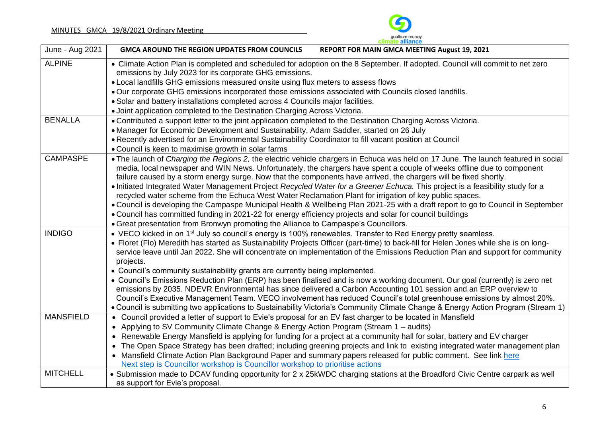

| June - Aug 2021  | <b>UNINGLE ANIANCE</b><br><b>GMCA AROUND THE REGION UPDATES FROM COUNCILS</b><br>REPORT FOR MAIN GMCA MEETING August 19, 2021                                                                                                                                                                                                                                                     |  |  |  |  |  |
|------------------|-----------------------------------------------------------------------------------------------------------------------------------------------------------------------------------------------------------------------------------------------------------------------------------------------------------------------------------------------------------------------------------|--|--|--|--|--|
| <b>ALPINE</b>    | • Climate Action Plan is completed and scheduled for adoption on the 8 September. If adopted. Council will commit to net zero<br>emissions by July 2023 for its corporate GHG emissions.                                                                                                                                                                                          |  |  |  |  |  |
|                  | • Local landfills GHG emissions measured onsite using flux meters to assess flows                                                                                                                                                                                                                                                                                                 |  |  |  |  |  |
|                  | . Our corporate GHG emissions incorporated those emissions associated with Councils closed landfills.                                                                                                                                                                                                                                                                             |  |  |  |  |  |
|                  | . Solar and battery installations completed across 4 Councils major facilities.                                                                                                                                                                                                                                                                                                   |  |  |  |  |  |
|                  | • Joint application completed to the Destination Charging Across Victoria.                                                                                                                                                                                                                                                                                                        |  |  |  |  |  |
| <b>BENALLA</b>   | • Contributed a support letter to the joint application completed to the Destination Charging Across Victoria.                                                                                                                                                                                                                                                                    |  |  |  |  |  |
|                  | • Manager for Economic Development and Sustainability, Adam Saddler, started on 26 July                                                                                                                                                                                                                                                                                           |  |  |  |  |  |
|                  | • Recently advertised for an Environmental Sustainability Coordinator to fill vacant position at Council                                                                                                                                                                                                                                                                          |  |  |  |  |  |
|                  | • Council is keen to maximise growth in solar farms                                                                                                                                                                                                                                                                                                                               |  |  |  |  |  |
| <b>CAMPASPE</b>  | • The launch of Charging the Regions 2, the electric vehicle chargers in Echuca was held on 17 June. The launch featured in social<br>media, local newspaper and WIN News. Unfortunately, the chargers have spent a couple of weeks offline due to component<br>failure caused by a storm energy surge. Now that the components have arrived, the chargers will be fixed shortly. |  |  |  |  |  |
|                  | . Initiated Integrated Water Management Project Recycled Water for a Greener Echuca. This project is a feasibility study for a                                                                                                                                                                                                                                                    |  |  |  |  |  |
|                  | recycled water scheme from the Echuca West Water Reclamation Plant for irrigation of key public spaces.                                                                                                                                                                                                                                                                           |  |  |  |  |  |
|                  | • Council is developing the Campaspe Municipal Health & Wellbeing Plan 2021-25 with a draft report to go to Council in September<br>• Council has committed funding in 2021-22 for energy efficiency projects and solar for council buildings                                                                                                                                     |  |  |  |  |  |
|                  |                                                                                                                                                                                                                                                                                                                                                                                   |  |  |  |  |  |
|                  | • Great presentation from Bronwyn promoting the Alliance to Campaspe's Councillors.                                                                                                                                                                                                                                                                                               |  |  |  |  |  |
| <b>INDIGO</b>    | • VECO kicked in on 1 <sup>st</sup> July so council's energy is 100% renewables. Transfer to Red Energy pretty seamless.                                                                                                                                                                                                                                                          |  |  |  |  |  |
|                  | • Floret (Flo) Meredith has started as Sustainability Projects Officer (part-time) to back-fill for Helen Jones while she is on long-<br>service leave until Jan 2022. She will concentrate on implementation of the Emissions Reduction Plan and support for community<br>projects.                                                                                              |  |  |  |  |  |
|                  | • Council's community sustainability grants are currently being implemented.                                                                                                                                                                                                                                                                                                      |  |  |  |  |  |
|                  | • Council's Emissions Reduction Plan (ERP) has been finalised and is now a working document. Our goal (currently) is zero net<br>emissions by 2035. NDEVR Environmental has since delivered a Carbon Accounting 101 session and an ERP overview to<br>Council's Executive Management Team. VECO involvement has reduced Council's total greenhouse emissions by almost 20%.       |  |  |  |  |  |
|                  | • Council is submitting two applications to Sustainability Victoria's Community Climate Change & Energy Action Program (Stream 1)                                                                                                                                                                                                                                                 |  |  |  |  |  |
| <b>MANSFIELD</b> | • Council provided a letter of support to Evie's proposal for an EV fast charger to be located in Mansfield                                                                                                                                                                                                                                                                       |  |  |  |  |  |
|                  | • Applying to SV Community Climate Change & Energy Action Program (Stream 1 – audits)                                                                                                                                                                                                                                                                                             |  |  |  |  |  |
|                  | • Renewable Energy Mansfield is applying for funding for a project at a community hall for solar, battery and EV charger                                                                                                                                                                                                                                                          |  |  |  |  |  |
|                  | • The Open Space Strategy has been drafted; including greening projects and link to existing integrated water management plan                                                                                                                                                                                                                                                     |  |  |  |  |  |
|                  | Mansfield Climate Action Plan Background Paper and summary papers released for public comment. See link here<br>$\bullet$                                                                                                                                                                                                                                                         |  |  |  |  |  |
|                  | Next step is Councillor workshop is Councillor workshop to prioritise actions                                                                                                                                                                                                                                                                                                     |  |  |  |  |  |
| <b>MITCHELL</b>  | • Submission made to DCAV funding opportunity for 2 x 25kWDC charging stations at the Broadford Civic Centre carpark as well                                                                                                                                                                                                                                                      |  |  |  |  |  |
|                  | as support for Evie's proposal.                                                                                                                                                                                                                                                                                                                                                   |  |  |  |  |  |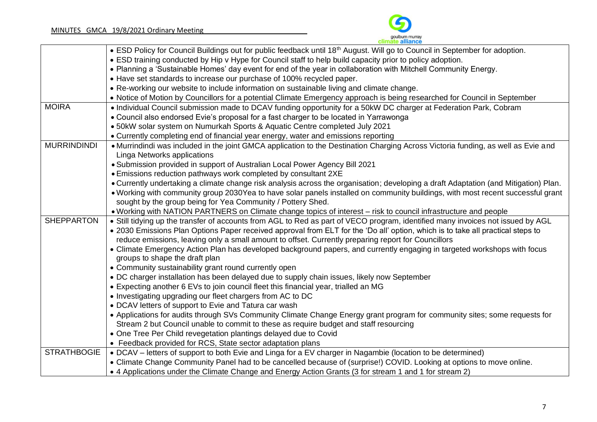

|                    | • ESD Policy for Council Buildings out for public feedback until 18 <sup>th</sup> August. Will go to Council in September for adoption. |
|--------------------|-----------------------------------------------------------------------------------------------------------------------------------------|
|                    | • ESD training conducted by Hip v Hype for Council staff to help build capacity prior to policy adoption.                               |
|                    | . Planning a 'Sustainable Homes' day event for end of the year in collaboration with Mitchell Community Energy.                         |
|                    | • Have set standards to increase our purchase of 100% recycled paper.                                                                   |
|                    | • Re-working our website to include information on sustainable living and climate change.                                               |
|                    | • Notice of Motion by Councillors for a potential Climate Emergency approach is being researched for Council in September               |
| <b>MOIRA</b>       | • Individual Council submission made to DCAV funding opportunity for a 50kW DC charger at Federation Park, Cobram                       |
|                    | • Council also endorsed Evie's proposal for a fast charger to be located in Yarrawonga                                                  |
|                    | • 50kW solar system on Numurkah Sports & Aquatic Centre completed July 2021                                                             |
|                    | • Currently completing end of financial year energy, water and emissions reporting                                                      |
| <b>MURRINDINDI</b> | • Murrindindi was included in the joint GMCA application to the Destination Charging Across Victoria funding, as well as Evie and       |
|                    | Linga Networks applications                                                                                                             |
|                    | • Submission provided in support of Australian Local Power Agency Bill 2021                                                             |
|                    | • Emissions reduction pathways work completed by consultant 2XE                                                                         |
|                    | • Currently undertaking a climate change risk analysis across the organisation; developing a draft Adaptation (and Mitigation) Plan.    |
|                    | . Working with community group 2030Yea to have solar panels installed on community buildings, with most recent successful grant         |
|                    | sought by the group being for Yea Community / Pottery Shed.                                                                             |
|                    | . Working with NATION PARTNERS on Climate change topics of interest - risk to council infrastructure and people                         |
| <b>SHEPPARTON</b>  | • Still tidying up the transfer of accounts from AGL to Red as part of VECO program, identified many invoices not issued by AGL         |
|                    | . 2030 Emissions Plan Options Paper received approval from ELT for the 'Do all' option, which is to take all practical steps to         |
|                    | reduce emissions, leaving only a small amount to offset. Currently preparing report for Councillors                                     |
|                    | • Climate Emergency Action Plan has developed background papers, and currently engaging in targeted workshops with focus                |
|                    | groups to shape the draft plan                                                                                                          |
|                    | • Community sustainability grant round currently open                                                                                   |
|                    | • DC charger installation has been delayed due to supply chain issues, likely now September                                             |
|                    | • Expecting another 6 EVs to join council fleet this financial year, trialled an MG                                                     |
|                    | • Investigating upgrading our fleet chargers from AC to DC                                                                              |
|                    | • DCAV letters of support to Evie and Tatura car wash                                                                                   |
|                    | • Applications for audits through SVs Community Climate Change Energy grant program for community sites; some requests for              |
|                    | Stream 2 but Council unable to commit to these as require budget and staff resourcing                                                   |
|                    | • One Tree Per Child revegetation plantings delayed due to Covid                                                                        |
|                    | • Feedback provided for RCS, State sector adaptation plans                                                                              |
| <b>STRATHBOGIE</b> | • DCAV – letters of support to both Evie and Linga for a EV charger in Nagambie (location to be determined)                             |
|                    | • Climate Change Community Panel had to be cancelled because of (surprise!) COVID. Looking at options to move online.                   |
|                    | • 4 Applications under the Climate Change and Energy Action Grants (3 for stream 1 and 1 for stream 2)                                  |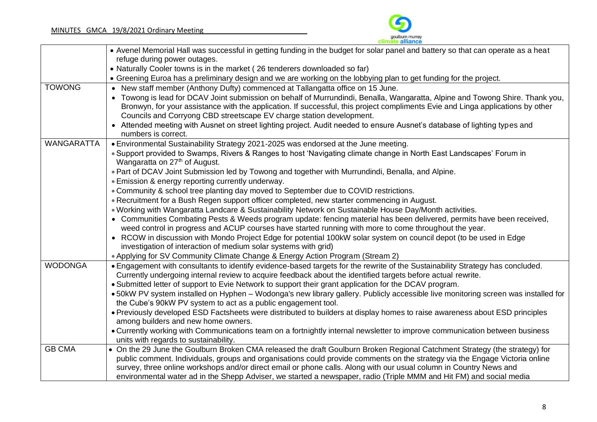

|                   | • Avenel Memorial Hall was successful in getting funding in the budget for solar panel and battery so that can operate as a heat                                                                                                                                                                                                       |
|-------------------|----------------------------------------------------------------------------------------------------------------------------------------------------------------------------------------------------------------------------------------------------------------------------------------------------------------------------------------|
|                   | refuge during power outages.                                                                                                                                                                                                                                                                                                           |
|                   | • Naturally Cooler towns is in the market (26 tenderers downloaded so far)                                                                                                                                                                                                                                                             |
|                   | • Greening Euroa has a preliminary design and we are working on the lobbying plan to get funding for the project.                                                                                                                                                                                                                      |
| <b>TOWONG</b>     | • New staff member (Anthony Dufty) commenced at Tallangatta office on 15 June.                                                                                                                                                                                                                                                         |
|                   | Towong is lead for DCAV Joint submission on behalf of Murrundindi, Benalla, Wangaratta, Alpine and Towong Shire. Thank you,<br>Bronwyn, for your assistance with the application. If successful, this project compliments Evie and Linga applications by other<br>Councils and Corryong CBD streetscape EV charge station development. |
|                   | • Attended meeting with Ausnet on street lighting project. Audit needed to ensure Ausnet's database of lighting types and<br>numbers is correct.                                                                                                                                                                                       |
| <b>WANGARATTA</b> | • Environmental Sustainability Strategy 2021-2025 was endorsed at the June meeting.                                                                                                                                                                                                                                                    |
|                   | • Support provided to Swamps, Rivers & Ranges to host 'Navigating climate change in North East Landscapes' Forum in<br>Wangaratta on 27 <sup>th</sup> of August.                                                                                                                                                                       |
|                   | . Part of DCAV Joint Submission led by Towong and together with Murrundindi, Benalla, and Alpine.                                                                                                                                                                                                                                      |
|                   | • Emission & energy reporting currently underway.                                                                                                                                                                                                                                                                                      |
|                   | • Community & school tree planting day moved to September due to COVID restrictions.                                                                                                                                                                                                                                                   |
|                   | • Recruitment for a Bush Regen support officer completed, new starter commencing in August.                                                                                                                                                                                                                                            |
|                   | . Working with Wangaratta Landcare & Sustainability Network on Sustainable House Day/Month activities.                                                                                                                                                                                                                                 |
|                   | • Communities Combating Pests & Weeds program update: fencing material has been delivered, permits have been received,<br>weed control in progress and ACUP courses have started running with more to come throughout the year.                                                                                                        |
|                   | • RCOW in discussion with Mondo Project Edge for potential 100kW solar system on council depot (to be used in Edge<br>investigation of interaction of medium solar systems with grid)                                                                                                                                                  |
|                   | • Applying for SV Community Climate Change & Energy Action Program (Stream 2)                                                                                                                                                                                                                                                          |
| <b>WODONGA</b>    | . Engagement with consultants to identify evidence-based targets for the rewrite of the Sustainability Strategy has concluded.                                                                                                                                                                                                         |
|                   | Currently undergoing internal review to acquire feedback about the identified targets before actual rewrite.                                                                                                                                                                                                                           |
|                   | • Submitted letter of support to Evie Network to support their grant application for the DCAV program.                                                                                                                                                                                                                                 |
|                   | • 50kW PV system installed on Hyphen - Wodonga's new library gallery. Publicly accessible live monitoring screen was installed for                                                                                                                                                                                                     |
|                   | the Cube's 90kW PV system to act as a public engagement tool.                                                                                                                                                                                                                                                                          |
|                   | • Previously developed ESD Factsheets were distributed to builders at display homes to raise awareness about ESD principles<br>among builders and new home owners.                                                                                                                                                                     |
|                   | • Currently working with Communications team on a fortnightly internal newsletter to improve communication between business                                                                                                                                                                                                            |
|                   | units with regards to sustainability.                                                                                                                                                                                                                                                                                                  |
| <b>GB CMA</b>     | • On the 29 June the Goulburn Broken CMA released the draft Goulburn Broken Regional Catchment Strategy (the strategy) for                                                                                                                                                                                                             |
|                   | public comment. Individuals, groups and organisations could provide comments on the strategy via the Engage Victoria online                                                                                                                                                                                                            |
|                   | survey, three online workshops and/or direct email or phone calls. Along with our usual column in Country News and                                                                                                                                                                                                                     |
|                   | environmental water ad in the Shepp Adviser, we started a newspaper, radio (Triple MMM and Hit FM) and social media                                                                                                                                                                                                                    |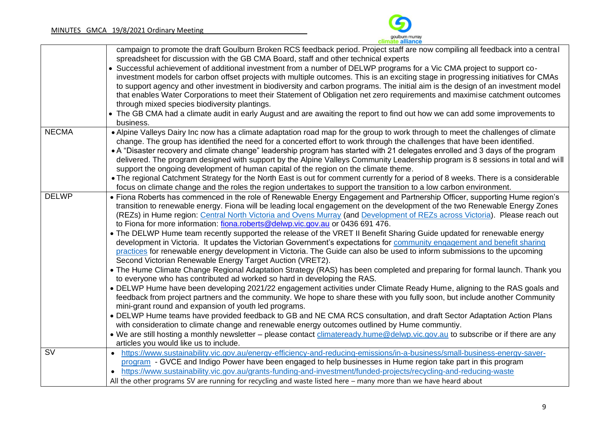

|                          | campaign to promote the draft Goulburn Broken RCS feedback period. Project staff are now compiling all feedback into a central                                                        |
|--------------------------|---------------------------------------------------------------------------------------------------------------------------------------------------------------------------------------|
|                          | spreadsheet for discussion with the GB CMA Board, staff and other technical experts                                                                                                   |
|                          | Successful achievement of additional investment from a number of DELWP programs for a Vic CMA project to support co-                                                                  |
|                          | investment models for carbon offset projects with multiple outcomes. This is an exciting stage in progressing initiatives for CMAs                                                    |
|                          | to support agency and other investment in biodiversity and carbon programs. The initial aim is the design of an investment model                                                      |
|                          | that enables Water Corporations to meet their Statement of Obligation net zero requirements and maximise catchment outcomes                                                           |
|                          | through mixed species biodiversity plantings.                                                                                                                                         |
|                          | The GB CMA had a climate audit in early August and are awaiting the report to find out how we can add some improvements to                                                            |
|                          | business.                                                                                                                                                                             |
| <b>NECMA</b>             | • Alpine Valleys Dairy Inc now has a climate adaptation road map for the group to work through to meet the challenges of climate                                                      |
|                          | change. The group has identified the need for a concerted effort to work through the challenges that have been identified.                                                            |
|                          | • A "Disaster recovery and climate change" leadership program has started with 21 delegates enrolled and 3 days of the program                                                        |
|                          | delivered. The program designed with support by the Alpine Valleys Community Leadership program is 8 sessions in total and will                                                       |
|                          | support the ongoing development of human capital of the region on the climate theme.                                                                                                  |
|                          | • The regional Catchment Strategy for the North East is out for comment currently for a period of 8 weeks. There is a considerable                                                    |
|                          | focus on climate change and the roles the region undertakes to support the transition to a low carbon environment.                                                                    |
| <b>DELWP</b>             | • Fiona Roberts has commenced in the role of Renewable Energy Engagement and Partnership Officer, supporting Hume region's                                                            |
|                          | transition to renewable energy. Fiona will be leading local engagement on the development of the two Renewable Energy Zones                                                           |
|                          | (REZs) in Hume region: Central North Victoria and Ovens Murray (and Development of REZs across Victoria). Please reach out                                                            |
|                          | to Fiona for more information: fiona.roberts@delwp.vic.gov.au or 0436 691 476.                                                                                                        |
|                          | • The DELWP Hume team recently supported the release of the VRET II Benefit Sharing Guide updated for renewable energy                                                                |
|                          | development in Victoria. It updates the Victorian Government's expectations for community engagement and benefit sharing                                                              |
|                          | practices for renewable energy development in Victoria. The Guide can also be used to inform submissions to the upcoming<br>Second Victorian Renewable Energy Target Auction (VRET2). |
|                          | • The Hume Climate Change Regional Adaptation Strategy (RAS) has been completed and preparing for formal launch. Thank you                                                            |
|                          | to everyone who has contributed ad worked so hard in developing the RAS.                                                                                                              |
|                          | • DELWP Hume have been developing 2021/22 engagement activities under Climate Ready Hume, aligning to the RAS goals and                                                               |
|                          | feedback from project partners and the community. We hope to share these with you fully soon, but include another Community                                                           |
|                          | mini-grant round and expansion of youth led programs.                                                                                                                                 |
|                          | • DELWP Hume teams have provided feedback to GB and NE CMA RCS consultation, and draft Sector Adaptation Action Plans                                                                 |
|                          | with consideration to climate change and renewable energy outcomes outlined by Hume communtiy.                                                                                        |
|                          | • We are still hosting a monthly newsletter – please contact climateready.hume@delwp.vic.gov.au to subscribe or if there are any                                                      |
|                          | articles you would like us to include.                                                                                                                                                |
| $\overline{\mathsf{SV}}$ | https://www.sustainability.vic.gov.au/energy-efficiency-and-reducing-emissions/in-a-business/small-business-energy-saver-<br>$\bullet$                                                |
|                          | program - GVCE and Indigo Power have been engaged to help businesses in Hume region take part in this program                                                                         |
|                          | https://www.sustainability.vic.gov.au/grants-funding-and-investment/funded-projects/recycling-and-reducing-waste                                                                      |
|                          | All the other programs SV are running for recycling and waste listed here – many more than we have heard about                                                                        |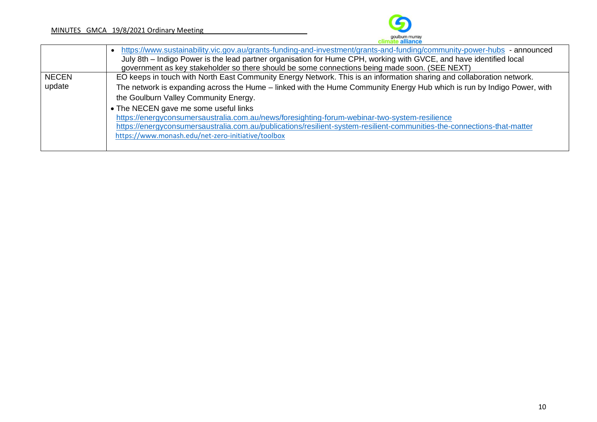

|              | https://www.sustainability.vic.gov.au/grants-funding-and-investment/grants-and-funding/community-power-hubs - announced<br>July 8th – Indigo Power is the lead partner organisation for Hume CPH, working with GVCE, and have identified local |
|--------------|------------------------------------------------------------------------------------------------------------------------------------------------------------------------------------------------------------------------------------------------|
|              | government as key stakeholder so there should be some connections being made soon. (SEE NEXT)                                                                                                                                                  |
| <b>NECEN</b> | EO keeps in touch with North East Community Energy Network. This is an information sharing and collaboration network.                                                                                                                          |
| update       | The network is expanding across the Hume – linked with the Hume Community Energy Hub which is run by Indigo Power, with                                                                                                                        |
|              | the Goulburn Valley Community Energy.                                                                                                                                                                                                          |
|              | • The NECEN gave me some useful links                                                                                                                                                                                                          |
|              | https://energyconsumersaustralia.com.au/news/foresighting-forum-webinar-two-system-resilience                                                                                                                                                  |
|              | https://energyconsumersaustralia.com.au/publications/resilient-system-resilient-communities-the-connections-that-matter                                                                                                                        |
|              | https://www.monash.edu/net-zero-initiative/toolbox                                                                                                                                                                                             |
|              |                                                                                                                                                                                                                                                |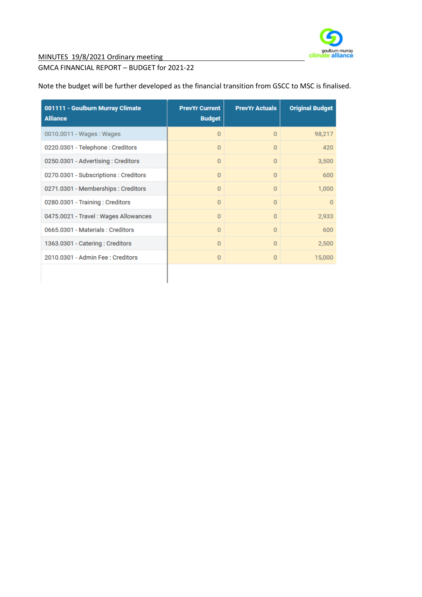

MINUTES 19/8/2021 Ordinary meeting

#### GMCA FINANCIAL REPORT – BUDGET for 2021-22

|  |  | Note the budget will be further developed as the financial transition from GSCC to MSC is finalised. |
|--|--|------------------------------------------------------------------------------------------------------|
|  |  |                                                                                                      |

| 001111 - Goulburn Murray Climate<br><b>Alliance</b> | <b>PrevYr Current</b><br><b>Budget</b> | <b>PrevYr Actuals</b> | <b>Original Budget</b> |
|-----------------------------------------------------|----------------------------------------|-----------------------|------------------------|
| 0010.0011 - Wages: Wages                            | $\overline{0}$                         | $\Omega$              | 98,217                 |
| 0220.0301 - Telephone : Creditors                   | 0                                      | $\Omega$              | 420                    |
| 0250.0301 - Advertising: Creditors                  | $\Omega$                               | $\Omega$              | 3,500                  |
| 0270.0301 - Subscriptions : Creditors               | 0                                      | $\Omega$              | 600                    |
| 0271.0301 - Memberships : Creditors                 | 0                                      | $\mathbf{0}$          | 1,000                  |
| 0280.0301 - Training: Creditors                     | 0                                      | $\Omega$              | $\Omega$               |
| 0475.0021 - Travel: Wages Allowances                | $\Omega$                               | $\Omega$              | 2,933                  |
| 0665.0301 - Materials : Creditors                   | $\Omega$                               | $\Omega$              | 600                    |
| 1363.0301 - Catering: Creditors                     | $\Omega$                               | $\Omega$              | 2,500                  |
| 2010.0301 - Admin Fee : Creditors                   | $\Omega$                               | $\Omega$              | 15,000                 |
|                                                     |                                        |                       |                        |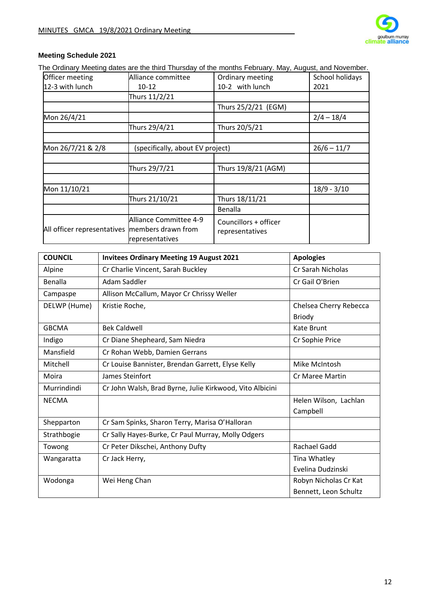

## **Meeting Schedule 2021**

The Ordinary Meeting dates are the third Thursday of the months February. May, August, and November.

| Officer meeting                                | Alliance committee                        | Ordinary meeting                         | School holidays |
|------------------------------------------------|-------------------------------------------|------------------------------------------|-----------------|
| 12-3 with lunch                                | $10 - 12$                                 | 10-2 with lunch                          | 2021            |
|                                                | Thurs 11/2/21                             |                                          |                 |
|                                                |                                           | Thurs 25/2/21 (EGM)                      |                 |
| Mon 26/4/21                                    |                                           |                                          | $2/4 - 18/4$    |
|                                                | Thurs 29/4/21                             | Thurs 20/5/21                            |                 |
|                                                |                                           |                                          |                 |
| Mon 26/7/21 & 2/8                              | (specifically, about EV project)          |                                          | $26/6 - 11/7$   |
|                                                |                                           |                                          |                 |
|                                                | Thurs 29/7/21                             | Thurs 19/8/21 (AGM)                      |                 |
|                                                |                                           |                                          |                 |
| Mon 11/10/21                                   |                                           |                                          | $18/9 - 3/10$   |
|                                                | Thurs 21/10/21                            | Thurs 18/11/21                           |                 |
|                                                |                                           | Benalla                                  |                 |
| All officer representatives members drawn from | Alliance Committee 4-9<br>representatives | Councillors + officer<br>representatives |                 |

| <b>COUNCIL</b> | <b>Invitees Ordinary Meeting 19 August 2021</b>          | <b>Apologies</b>       |
|----------------|----------------------------------------------------------|------------------------|
| Alpine         | Cr Charlie Vincent, Sarah Buckley                        | Cr Sarah Nicholas      |
| Benalla        | Adam Saddler                                             | Cr Gail O'Brien        |
| Campaspe       | Allison McCallum, Mayor Cr Chrissy Weller                |                        |
| DELWP (Hume)   | Kristie Roche,                                           | Chelsea Cherry Rebecca |
|                |                                                          | <b>Briody</b>          |
| <b>GBCMA</b>   | <b>Bek Caldwell</b>                                      | Kate Brunt             |
| Indigo         | Cr Diane Shepheard, Sam Niedra                           | Cr Sophie Price        |
| Mansfield      | Cr Rohan Webb, Damien Gerrans                            |                        |
| Mitchell       | Cr Louise Bannister, Brendan Garrett, Elyse Kelly        | Mike McIntosh          |
| Moira          | James Steinfort                                          | <b>Cr Maree Martin</b> |
| Murrindindi    | Cr John Walsh, Brad Byrne, Julie Kirkwood, Vito Albicini |                        |
| <b>NECMA</b>   |                                                          | Helen Wilson, Lachlan  |
|                |                                                          | Campbell               |
| Shepparton     | Cr Sam Spinks, Sharon Terry, Marisa O'Halloran           |                        |
| Strathbogie    | Cr Sally Hayes-Burke, Cr Paul Murray, Molly Odgers       |                        |
| Towong         | Cr Peter Dikschei, Anthony Dufty                         | Rachael Gadd           |
| Wangaratta     | Cr Jack Herry,                                           | Tina Whatley           |
|                |                                                          | Evelina Dudzinski      |
| Wodonga        | Wei Heng Chan                                            | Robyn Nicholas Cr Kat  |
|                |                                                          | Bennett, Leon Schultz  |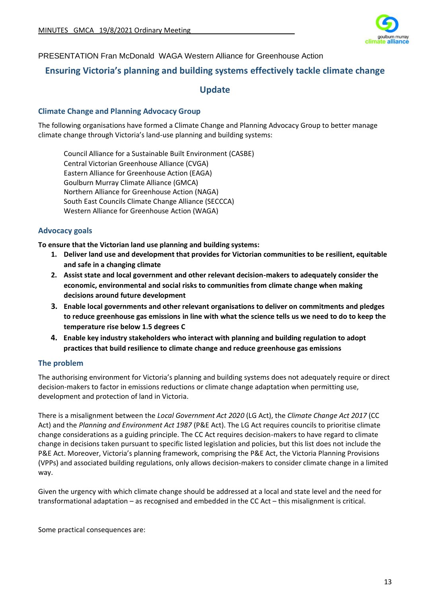

PRESENTATION Fran McDonald WAGA Western Alliance for Greenhouse Action

## **Ensuring Victoria's planning and building systems effectively tackle climate change**

## **Update**

#### **Climate Change and Planning Advocacy Group**

The following organisations have formed a Climate Change and Planning Advocacy Group to better manage climate change through Victoria's land-use planning and building systems:

Council Alliance for a Sustainable Built Environment (CASBE) Central Victorian Greenhouse Alliance (CVGA) Eastern Alliance for Greenhouse Action (EAGA) Goulburn Murray Climate Alliance (GMCA) Northern Alliance for Greenhouse Action (NAGA) South East Councils Climate Change Alliance (SECCCA) Western Alliance for Greenhouse Action (WAGA)

### **Advocacy goals**

**To ensure that the Victorian land use planning and building systems:**

- **1. Deliver land use and development that provides for Victorian communities to be resilient, equitable and safe in a changing climate**
- **2. Assist state and local government and other relevant decision-makers to adequately consider the economic, environmental and social risks to communities from climate change when making decisions around future development**
- **3. Enable local governments and other relevant organisations to deliver on commitments and pledges to reduce greenhouse gas emissions in line with what the science tells us we need to do to keep the temperature rise below 1.5 degrees C**
- **4. Enable key industry stakeholders who interact with planning and building regulation to adopt practices that build resilience to climate change and reduce greenhouse gas emissions**

#### **The problem**

The authorising environment for Victoria's planning and building systems does not adequately require or direct decision-makers to factor in emissions reductions or climate change adaptation when permitting use, development and protection of land in Victoria.

There is a misalignment between the *Local Government Act 2020* (LG Act), the *Climate Change Act 2017* (CC Act) and the *Planning and Environment Act 1987* (P&E Act). The LG Act requires councils to prioritise climate change considerations as a guiding principle. The CC Act requires decision-makers to have regard to climate change in decisions taken pursuant to specific listed legislation and policies, but this list does not include the P&E Act. Moreover, Victoria's planning framework, comprising the P&E Act, the Victoria Planning Provisions (VPPs) and associated building regulations, only allows decision-makers to consider climate change in a limited way.

Given the urgency with which climate change should be addressed at a local and state level and the need for transformational adaptation – as recognised and embedded in the CC Act – this misalignment is critical.

Some practical consequences are: